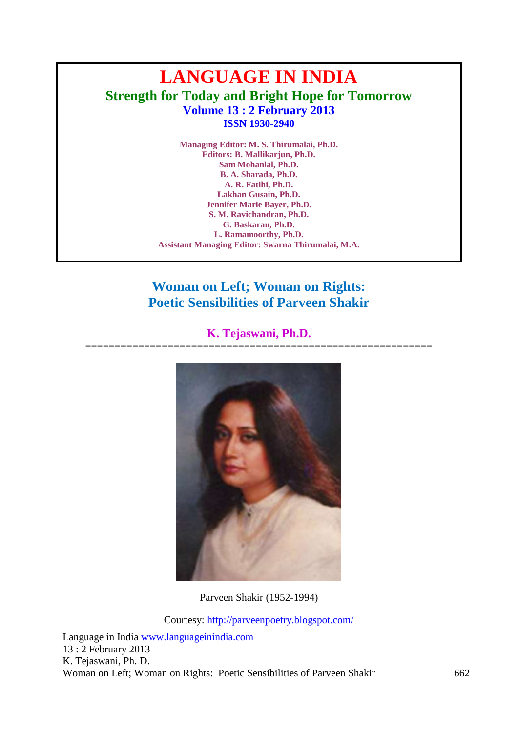# **LANGUAGE IN INDIA Strength for Today and Bright Hope for Tomorrow Volume 13 : 2 February 2013 ISSN 1930-2940**

**Managing Editor: M. S. Thirumalai, Ph.D. Editors: B. Mallikarjun, Ph.D. Sam Mohanlal, Ph.D. B. A. Sharada, Ph.D. A. R. Fatihi, Ph.D. Lakhan Gusain, Ph.D. Jennifer Marie Bayer, Ph.D. S. M. Ravichandran, Ph.D. G. Baskaran, Ph.D. L. Ramamoorthy, Ph.D. Assistant Managing Editor: Swarna Thirumalai, M.A.**

# **Woman on Left; Woman on Rights: Poetic Sensibilities of Parveen Shakir**

# **K. Tejaswani, Ph.D.**

=========================================================== Parveen Shakir (1952-1994)

Courtesy:<http://parveenpoetry.blogspot.com/>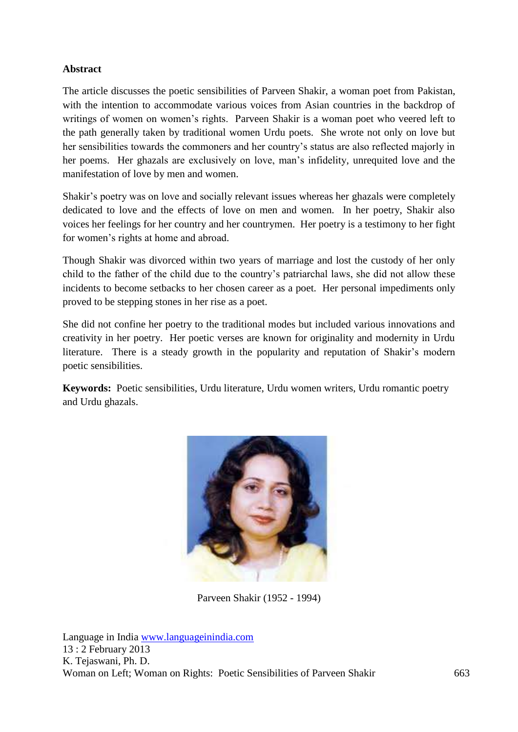# **Abstract**

The article discusses the poetic sensibilities of Parveen Shakir, a woman poet from Pakistan, with the intention to accommodate various voices from Asian countries in the backdrop of writings of women on women's rights. Parveen Shakir is a woman poet who veered left to the path generally taken by traditional women Urdu poets. She wrote not only on love but her sensibilities towards the commoners and her country's status are also reflected majorly in her poems. Her ghazals are exclusively on love, man's infidelity, unrequited love and the manifestation of love by men and women.

Shakir's poetry was on love and socially relevant issues whereas her ghazals were completely dedicated to love and the effects of love on men and women. In her poetry, Shakir also voices her feelings for her country and her countrymen. Her poetry is a testimony to her fight for women's rights at home and abroad.

Though Shakir was divorced within two years of marriage and lost the custody of her only child to the father of the child due to the country's patriarchal laws, she did not allow these incidents to become setbacks to her chosen career as a poet. Her personal impediments only proved to be stepping stones in her rise as a poet.

She did not confine her poetry to the traditional modes but included various innovations and creativity in her poetry. Her poetic verses are known for originality and modernity in Urdu literature. There is a steady growth in the popularity and reputation of Shakir's modern poetic sensibilities.

**Keywords:** Poetic sensibilities, Urdu literature, Urdu women writers, Urdu romantic poetry and Urdu ghazals.



Parveen Shakir (1952 - 1994)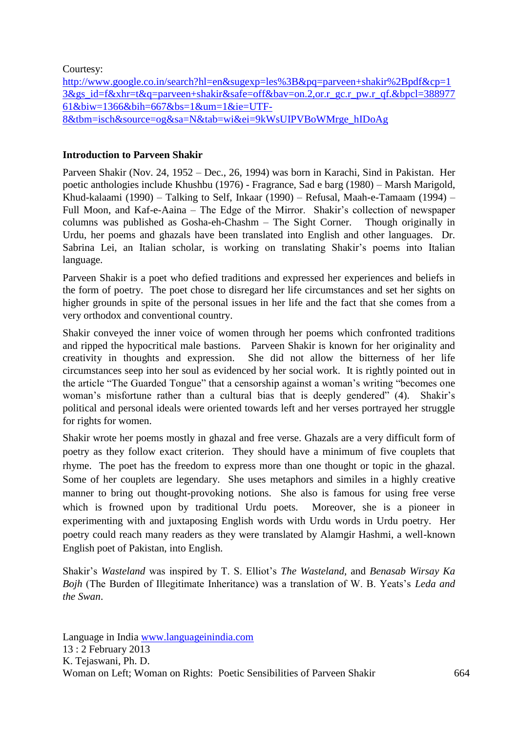Courtesy:

[http://www.google.co.in/search?hl=en&sugexp=les%3B&pq=parveen+shakir%2Bpdf&cp=1](http://www.google.co.in/search?hl=en&sugexp=les%3B&pq=parveen+shakir%2Bpdf&cp=13&gs_id=f&xhr=t&q=parveen+shakir&safe=off&bav=on.2,or.r_gc.r_pw.r_qf.&bpcl=38897761&biw=1366&bih=667&bs=1&um=1&ie=UTF-8&tbm=isch&source=og&sa=N&tab=wi&ei=9kWsUIPVBoWMrge_hIDoAg) [3&gs\\_id=f&xhr=t&q=parveen+shakir&safe=off&bav=on.2,or.r\\_gc.r\\_pw.r\\_qf.&bpcl=388977](http://www.google.co.in/search?hl=en&sugexp=les%3B&pq=parveen+shakir%2Bpdf&cp=13&gs_id=f&xhr=t&q=parveen+shakir&safe=off&bav=on.2,or.r_gc.r_pw.r_qf.&bpcl=38897761&biw=1366&bih=667&bs=1&um=1&ie=UTF-8&tbm=isch&source=og&sa=N&tab=wi&ei=9kWsUIPVBoWMrge_hIDoAg) [61&biw=1366&bih=667&bs=1&um=1&ie=UTF-](http://www.google.co.in/search?hl=en&sugexp=les%3B&pq=parveen+shakir%2Bpdf&cp=13&gs_id=f&xhr=t&q=parveen+shakir&safe=off&bav=on.2,or.r_gc.r_pw.r_qf.&bpcl=38897761&biw=1366&bih=667&bs=1&um=1&ie=UTF-8&tbm=isch&source=og&sa=N&tab=wi&ei=9kWsUIPVBoWMrge_hIDoAg)[8&tbm=isch&source=og&sa=N&tab=wi&ei=9kWsUIPVBoWMrge\\_hIDoAg](http://www.google.co.in/search?hl=en&sugexp=les%3B&pq=parveen+shakir%2Bpdf&cp=13&gs_id=f&xhr=t&q=parveen+shakir&safe=off&bav=on.2,or.r_gc.r_pw.r_qf.&bpcl=38897761&biw=1366&bih=667&bs=1&um=1&ie=UTF-8&tbm=isch&source=og&sa=N&tab=wi&ei=9kWsUIPVBoWMrge_hIDoAg)

# **Introduction to Parveen Shakir**

Parveen Shakir (Nov. 24, 1952 – Dec., 26, 1994) was born in Karachi, Sind in Pakistan. Her poetic anthologies include Khushbu (1976) - Fragrance, Sad e barg (1980) – Marsh Marigold, Khud-kalaami (1990) – Talking to Self, Inkaar (1990) – Refusal, Maah-e-Tamaam (1994) – Full Moon, and Kaf-e-Aaina – The Edge of the Mirror. Shakir's collection of newspaper columns was published as Gosha-eh-Chashm – The Sight Corner. Though originally in Urdu, her poems and ghazals have been translated into English and other languages. Dr. Sabrina Lei, an Italian scholar, is working on translating Shakir's poems into Italian language.

Parveen Shakir is a poet who defied traditions and expressed her experiences and beliefs in the form of poetry. The poet chose to disregard her life circumstances and set her sights on higher grounds in spite of the personal issues in her life and the fact that she comes from a very orthodox and conventional country.

Shakir conveyed the inner voice of women through her poems which confronted traditions and ripped the hypocritical male bastions. Parveen Shakir is known for her originality and creativity in thoughts and expression. She did not allow the bitterness of her life circumstances seep into her soul as evidenced by her social work. It is rightly pointed out in the article "The Guarded Tongue" that a censorship against a woman's writing "becomes one woman's misfortune rather than a cultural bias that is deeply gendered" (4). Shakir's political and personal ideals were oriented towards left and her verses portrayed her struggle for rights for women.

Shakir wrote her poems mostly in ghazal and free verse. Ghazals are a very difficult form of poetry as they follow exact criterion. They should have a minimum of five couplets that rhyme. The poet has the freedom to express more than one thought or topic in the ghazal. Some of her couplets are legendary. She uses metaphors and similes in a highly creative manner to bring out thought-provoking notions. She also is famous for using free verse which is frowned upon by traditional Urdu poets. Moreover, she is a pioneer in experimenting with and juxtaposing English words with Urdu words in Urdu poetry. Her poetry could reach many readers as they were translated by Alamgir Hashmi, a well-known English poet of Pakistan, into English.

Shakir's *Wasteland* was inspired by T. S. Elliot's *The Wasteland*, and *Benasab Wirsay Ka Bojh* (The Burden of Illegitimate Inheritance) was a translation of W. B. Yeats's *Leda and the Swan*.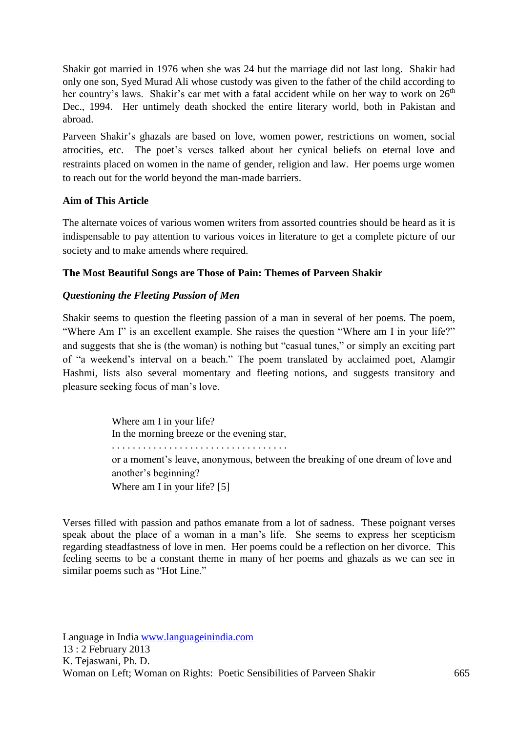Shakir got married in 1976 when she was 24 but the marriage did not last long. Shakir had only one son, Syed Murad Ali whose custody was given to the father of the child according to her country's laws. Shakir's car met with a fatal accident while on her way to work on  $26<sup>th</sup>$ Dec., 1994. Her untimely death shocked the entire literary world, both in Pakistan and abroad.

Parveen Shakir's ghazals are based on love, women power, restrictions on women, social atrocities, etc. The poet's verses talked about her cynical beliefs on eternal love and restraints placed on women in the name of gender, religion and law. Her poems urge women to reach out for the world beyond the man-made barriers.

## **Aim of This Article**

The alternate voices of various women writers from assorted countries should be heard as it is indispensable to pay attention to various voices in literature to get a complete picture of our society and to make amends where required.

### **The Most Beautiful Songs are Those of Pain: Themes of Parveen Shakir**

## *Questioning the Fleeting Passion of Men*

Shakir seems to question the fleeting passion of a man in several of her poems. The poem, "Where Am I" is an excellent example. She raises the question "Where am I in your life?" and suggests that she is (the woman) is nothing but "casual tunes," or simply an exciting part of "a weekend's interval on a beach." The poem translated by acclaimed poet, Alamgir Hashmi, lists also several momentary and fleeting notions, and suggests transitory and pleasure seeking focus of man's love.

> Where am I in your life? In the morning breeze or the evening star, . . . . . . . . . . . . . . . . . . . . . . . . . . . . . . . . . . or a moment's leave, anonymous, between the breaking of one dream of love and another's beginning? Where am I in your life? [5]

Verses filled with passion and pathos emanate from a lot of sadness. These poignant verses speak about the place of a woman in a man's life. She seems to express her scepticism regarding steadfastness of love in men. Her poems could be a reflection on her divorce. This feeling seems to be a constant theme in many of her poems and ghazals as we can see in similar poems such as "Hot Line."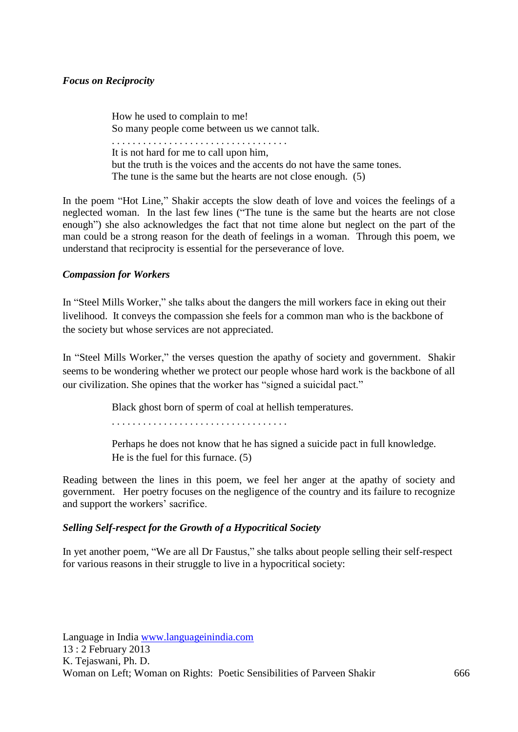### *Focus on Reciprocity*

How he used to complain to me! So many people come between us we cannot talk. . . . . . . . . . . . . . . . . . . . . . . . . . . . . . . . . . . It is not hard for me to call upon him, but the truth is the voices and the accents do not have the same tones. The tune is the same but the hearts are not close enough. (5)

In the poem "Hot Line," Shakir accepts the slow death of love and voices the feelings of a neglected woman. In the last few lines ("The tune is the same but the hearts are not close enough") she also acknowledges the fact that not time alone but neglect on the part of the man could be a strong reason for the death of feelings in a woman. Through this poem, we understand that reciprocity is essential for the perseverance of love.

## *Compassion for Workers*

In "Steel Mills Worker," she talks about the dangers the mill workers face in eking out their livelihood. It conveys the compassion she feels for a common man who is the backbone of the society but whose services are not appreciated.

In "Steel Mills Worker," the verses question the apathy of society and government. Shakir seems to be wondering whether we protect our people whose hard work is the backbone of all our civilization. She opines that the worker has "signed a suicidal pact."

Black ghost born of sperm of coal at hellish temperatures.

. . . . . . . . . . . . . . . . . . . . . . . . . . . . . . . . . .

Perhaps he does not know that he has signed a suicide pact in full knowledge. He is the fuel for this furnace. (5)

Reading between the lines in this poem, we feel her anger at the apathy of society and government. Her poetry focuses on the negligence of the country and its failure to recognize and support the workers' sacrifice.

### *Selling Self-respect for the Growth of a Hypocritical Society*

In yet another poem, "We are all Dr Faustus," she talks about people selling their self-respect for various reasons in their struggle to live in a hypocritical society: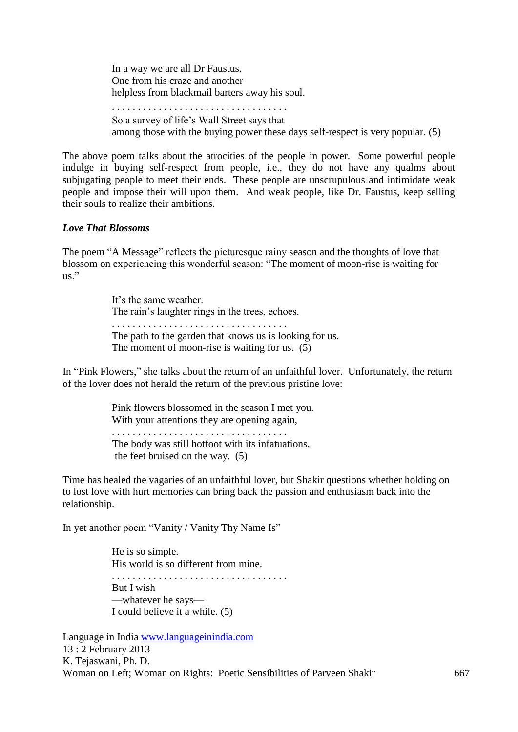In a way we are all Dr Faustus. One from his craze and another helpless from blackmail barters away his soul. . . . . . . . . . . . . . . . . . . . . . . . . . . . . . . . . . .

So a survey of life's Wall Street says that among those with the buying power these days self-respect is very popular. (5)

The above poem talks about the atrocities of the people in power. Some powerful people indulge in buying self-respect from people, i.e., they do not have any qualms about subjugating people to meet their ends. These people are unscrupulous and intimidate weak people and impose their will upon them. And weak people, like Dr. Faustus, keep selling their souls to realize their ambitions.

### *Love That Blossoms*

The poem "A Message" reflects the picturesque rainy season and the thoughts of love that blossom on experiencing this wonderful season: "The moment of moon-rise is waiting for  $\overline{u}$ ."

> It's the same weather. The rain's laughter rings in the trees, echoes. . . . . . . . . . . . . . . . . . . . . . . . . . . . . . . . . . . The path to the garden that knows us is looking for us. The moment of moon-rise is waiting for us. (5)

In "Pink Flowers," she talks about the return of an unfaithful lover. Unfortunately, the return of the lover does not herald the return of the previous pristine love:

> Pink flowers blossomed in the season I met you. With your attentions they are opening again,

. . . . . . . . . . . . . . . . . . . . . . . . . . . . . . . . . . The body was still hotfoot with its infatuations, the feet bruised on the way. (5)

Time has healed the vagaries of an unfaithful lover, but Shakir questions whether holding on to lost love with hurt memories can bring back the passion and enthusiasm back into the relationship.

In yet another poem "Vanity / Vanity Thy Name Is"

He is so simple. His world is so different from mine.

. . . . . . . . . . . . . . . . . . . . . . . . . . . . . . . . . . But I wish —whatever he says— I could believe it a while. (5)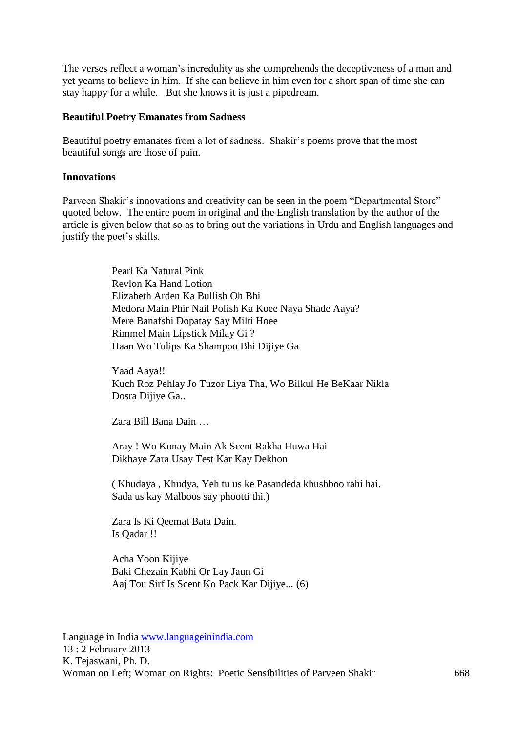The verses reflect a woman's incredulity as she comprehends the deceptiveness of a man and yet yearns to believe in him. If she can believe in him even for a short span of time she can stay happy for a while. But she knows it is just a pipedream.

#### **Beautiful Poetry Emanates from Sadness**

Beautiful poetry emanates from a lot of sadness. Shakir's poems prove that the most beautiful songs are those of pain.

### **Innovations**

Parveen Shakir's innovations and creativity can be seen in the poem "Departmental Store" quoted below. The entire poem in original and the English translation by the author of the article is given below that so as to bring out the variations in Urdu and English languages and justify the poet's skills.

> Pearl Ka Natural Pink Revlon Ka Hand Lotion Elizabeth Arden Ka Bullish Oh Bhi Medora Main Phir Nail Polish Ka Koee Naya Shade Aaya? Mere Banafshi Dopatay Say Milti Hoee Rimmel Main Lipstick Milay Gi ? Haan Wo Tulips Ka Shampoo Bhi Dijiye Ga

Yaad Aaya!! Kuch Roz Pehlay Jo Tuzor Liya Tha, Wo Bilkul He BeKaar Nikla Dosra Dijiye Ga..

Zara Bill Bana Dain …

Aray ! Wo Konay Main Ak Scent Rakha Huwa Hai Dikhaye Zara Usay Test Kar Kay Dekhon

( Khudaya , Khudya, Yeh tu us ke Pasandeda khushboo rahi hai. Sada us kay Malboos say phootti thi.)

Zara Is Ki Qeemat Bata Dain. Is Qadar !!

Acha Yoon Kijiye Baki Chezain Kabhi Or Lay Jaun Gi Aaj Tou Sirf Is Scent Ko Pack Kar Dijiye... (6)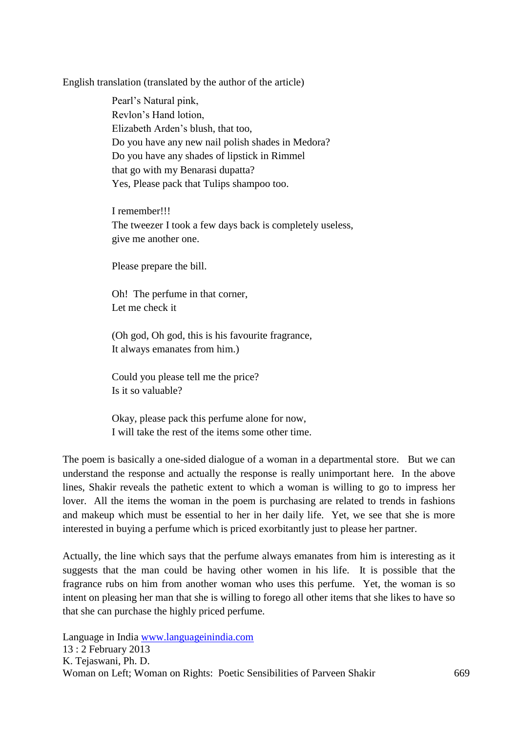English translation (translated by the author of the article)

Pearl's Natural pink, Revlon's Hand lotion, Elizabeth Arden's blush, that too, Do you have any new nail polish shades in Medora? Do you have any shades of lipstick in Rimmel that go with my Benarasi dupatta? Yes, Please pack that Tulips shampoo too.

I remember!!! The tweezer I took a few days back is completely useless, give me another one.

Please prepare the bill.

Oh! The perfume in that corner, Let me check it

(Oh god, Oh god, this is his favourite fragrance, It always emanates from him.)

Could you please tell me the price? Is it so valuable?

Okay, please pack this perfume alone for now, I will take the rest of the items some other time.

The poem is basically a one-sided dialogue of a woman in a departmental store. But we can understand the response and actually the response is really unimportant here. In the above lines, Shakir reveals the pathetic extent to which a woman is willing to go to impress her lover. All the items the woman in the poem is purchasing are related to trends in fashions and makeup which must be essential to her in her daily life. Yet, we see that she is more interested in buying a perfume which is priced exorbitantly just to please her partner.

Actually, the line which says that the perfume always emanates from him is interesting as it suggests that the man could be having other women in his life. It is possible that the fragrance rubs on him from another woman who uses this perfume. Yet, the woman is so intent on pleasing her man that she is willing to forego all other items that she likes to have so that she can purchase the highly priced perfume.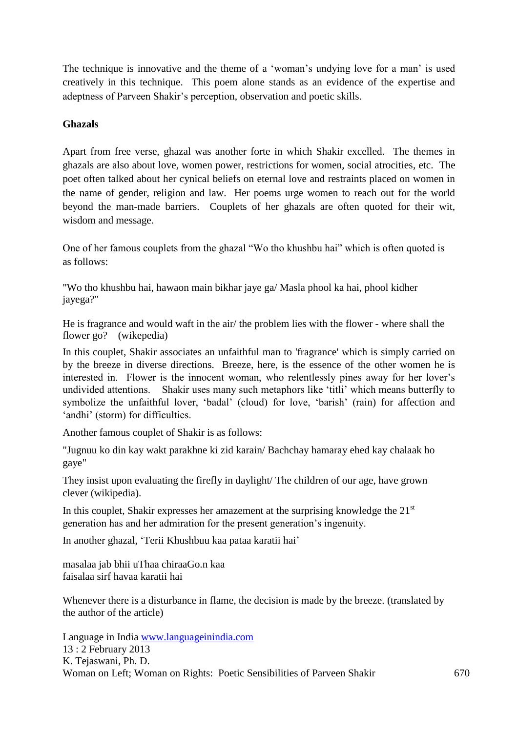The technique is innovative and the theme of a 'woman's undying love for a man' is used creatively in this technique. This poem alone stands as an evidence of the expertise and adeptness of Parveen Shakir's perception, observation and poetic skills.

# **Ghazals**

Apart from free verse, ghazal was another forte in which Shakir excelled. The themes in ghazals are also about love, women power, restrictions for women, social atrocities, etc. The poet often talked about her cynical beliefs on eternal love and restraints placed on women in the name of gender, religion and law. Her poems urge women to reach out for the world beyond the man-made barriers. Couplets of her ghazals are often quoted for their wit, wisdom and message.

One of her famous couplets from the ghazal "Wo tho khushbu hai" which is often quoted is as follows:

"Wo tho khushbu hai, hawaon main bikhar jaye ga/ Masla phool ka hai, phool kidher jayega?"

He is fragrance and would waft in the air/ the problem lies with the flower - where shall the flower go? (wikepedia)

In this couplet, Shakir associates an unfaithful man to 'fragrance' which is simply carried on by the breeze in diverse directions. Breeze, here, is the essence of the other women he is interested in. Flower is the innocent woman, who relentlessly pines away for her lover's undivided attentions. Shakir uses many such metaphors like 'titli' which means butterfly to symbolize the unfaithful lover, 'badal' (cloud) for love, 'barish' (rain) for affection and 'andhi' (storm) for difficulties.

Another famous couplet of Shakir is as follows:

"Jugnuu ko din kay wakt parakhne ki zid karain/ Bachchay hamaray ehed kay chalaak ho gaye"

They insist upon evaluating the firefly in daylight/ The children of our age, have grown clever (wikipedia).

In this couplet, Shakir expresses her amazement at the surprising knowledge the  $21<sup>st</sup>$ generation has and her admiration for the present generation's ingenuity.

In another ghazal, 'Terii Khushbuu kaa pataa karatii hai'

masalaa jab bhii uThaa chiraaGo.n kaa faisalaa sirf havaa karatii hai

Whenever there is a disturbance in flame, the decision is made by the breeze. (translated by the author of the article)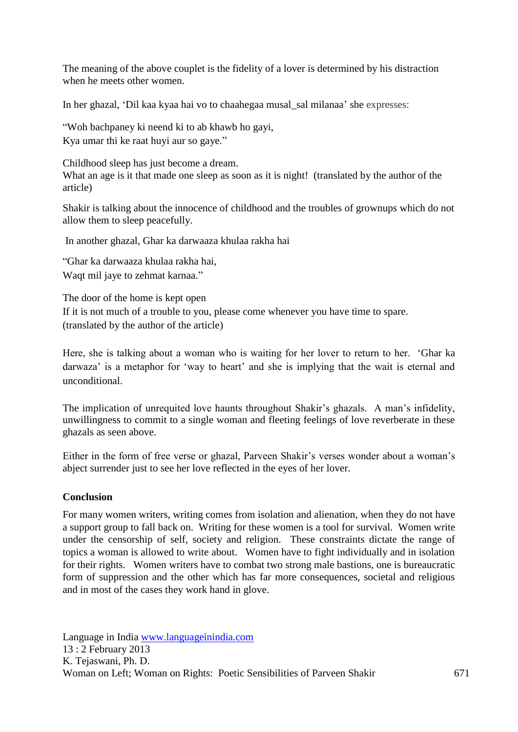The meaning of the above couplet is the fidelity of a lover is determined by his distraction when he meets other women.

In her ghazal, 'Dil kaa kyaa hai vo to chaahegaa musal\_sal milanaa' she expresses:

"Woh bachpaney ki neend ki to ab khawb ho gayi,

Kya umar thi ke raat huyi aur so gaye."

Childhood sleep has just become a dream. What an age is it that made one sleep as soon as it is night! (translated by the author of the article)

Shakir is talking about the innocence of childhood and the troubles of grownups which do not allow them to sleep peacefully.

In another ghazal, Ghar ka darwaaza khulaa rakha hai

"Ghar ka darwaaza khulaa rakha hai, Waqt mil jaye to zehmat karnaa."

The door of the home is kept open If it is not much of a trouble to you, please come whenever you have time to spare. (translated by the author of the article)

Here, she is talking about a woman who is waiting for her lover to return to her. 'Ghar ka darwaza' is a metaphor for 'way to heart' and she is implying that the wait is eternal and unconditional.

The implication of unrequited love haunts throughout Shakir's ghazals. A man's infidelity, unwillingness to commit to a single woman and fleeting feelings of love reverberate in these ghazals as seen above.

Either in the form of free verse or ghazal, Parveen Shakir's verses wonder about a woman's abject surrender just to see her love reflected in the eyes of her lover.

# **Conclusion**

For many women writers, writing comes from isolation and alienation, when they do not have a support group to fall back on. Writing for these women is a tool for survival. Women write under the censorship of self, society and religion. These constraints dictate the range of topics a woman is allowed to write about. Women have to fight individually and in isolation for their rights. Women writers have to combat two strong male bastions, one is bureaucratic form of suppression and the other which has far more consequences, societal and religious and in most of the cases they work hand in glove.